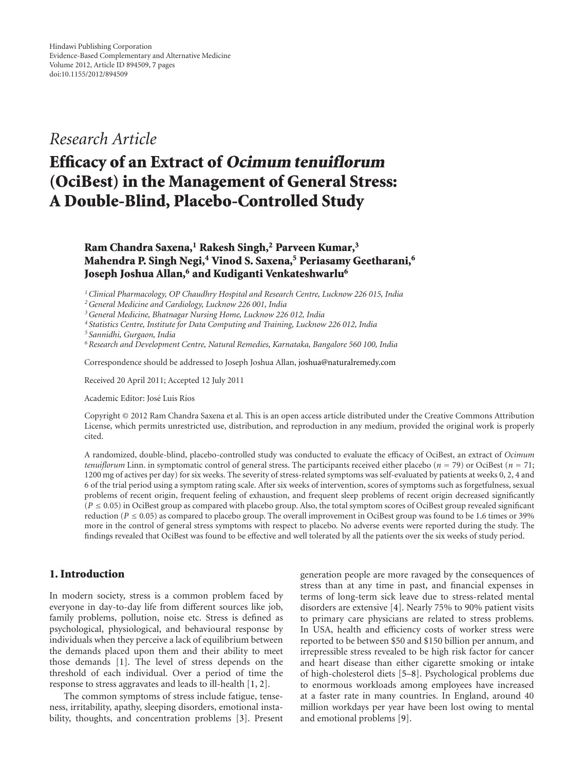## *Research Article*

# **Efficacy of an Extract of Ocimum tenuiflorum (OciBest) in the Management of General Stress: A Double-Blind, Placebo-Controlled Study**

## **Ram Chandra Saxena,1 Rakesh Singh,2 Parveen Kumar,3 Mahendra P. Singh Negi,4 Vinod S. Saxena,5 Periasamy Geetharani,6 Joseph Joshua Allan,6 and Kudiganti Venkateshwarlu6**

*1Clinical Pharmacology, OP Chaudhry Hospital and Research Centre, Lucknow 226 015, India*

*2General Medicine and Cardiology, Lucknow 226 001, India*

*3General Medicine, Bhatnagar Nursing Home, Lucknow 226 012, India*

*<sup>4</sup> Statistics Centre, Institute for Data Computing and Training, Lucknow 226 012, India*

*<sup>5</sup> Sannidhi, Gurgaon, India*

*6Research and Development Centre, Natural Remedies, Karnataka, Bangalore 560 100, India*

Correspondence should be addressed to Joseph Joshua Allan, joshua@naturalremedy.com

Received 20 April 2011; Accepted 12 July 2011

Academic Editor: José Luis Ríos

Copyright © 2012 Ram Chandra Saxena et al. This is an open access article distributed under the Creative Commons Attribution License, which permits unrestricted use, distribution, and reproduction in any medium, provided the original work is properly cited.

A randomized, double-blind, placebo-controlled study was conducted to evaluate the efficacy of OciBest, an extract of *Ocimum tenuiflorum* Linn. in symptomatic control of general stress. The participants received either placebo (*<sup>n</sup>* <sup>=</sup> 79) or OciBest (*<sup>n</sup>* <sup>=</sup> 71; 1200 mg of actives per day) for six weeks. The severity of stress-related symptoms was self-evaluated by patients at weeks 0, 2, 4 and 6 of the trial period using a symptom rating scale. After six weeks of intervention, scores of symptoms such as forgetfulness, sexual problems of recent origin, frequent feeling of exhaustion, and frequent sleep problems of recent origin decreased significantly  $(P \le 0.05)$  in OciBest group as compared with placebo group. Also, the total symptom scores of OciBest group revealed significant reduction ( $P \le 0.05$ ) as compared to placebo group. The overall improvement in OciBest group was found to be 1.6 times or 39% more in the control of general stress symptoms with respect to placebo. No adverse events were reported during the study. The findings revealed that OciBest was found to be effective and well tolerated by all the patients over the six weeks of study period.

### **1. Introduction**

In modern society, stress is a common problem faced by everyone in day-to-day life from different sources like job, family problems, pollution, noise etc. Stress is defined as psychological, physiological, and behavioural response by individuals when they perceive a lack of equilibrium between the demands placed upon them and their ability to meet those demands [1]. The level of stress depends on the threshold of each individual. Over a period of time the response to stress aggravates and leads to ill-health [1, 2].

The common symptoms of stress include fatigue, tenseness, irritability, apathy, sleeping disorders, emotional instability, thoughts, and concentration problems [3]. Present generation people are more ravaged by the consequences of stress than at any time in past, and financial expenses in terms of long-term sick leave due to stress-related mental disorders are extensive [4]. Nearly 75% to 90% patient visits to primary care physicians are related to stress problems. In USA, health and efficiency costs of worker stress were reported to be between \$50 and \$150 billion per annum, and irrepressible stress revealed to be high risk factor for cancer and heart disease than either cigarette smoking or intake of high-cholesterol diets [5–8]. Psychological problems due to enormous workloads among employees have increased at a faster rate in many countries. In England, around 40 million workdays per year have been lost owing to mental and emotional problems [9].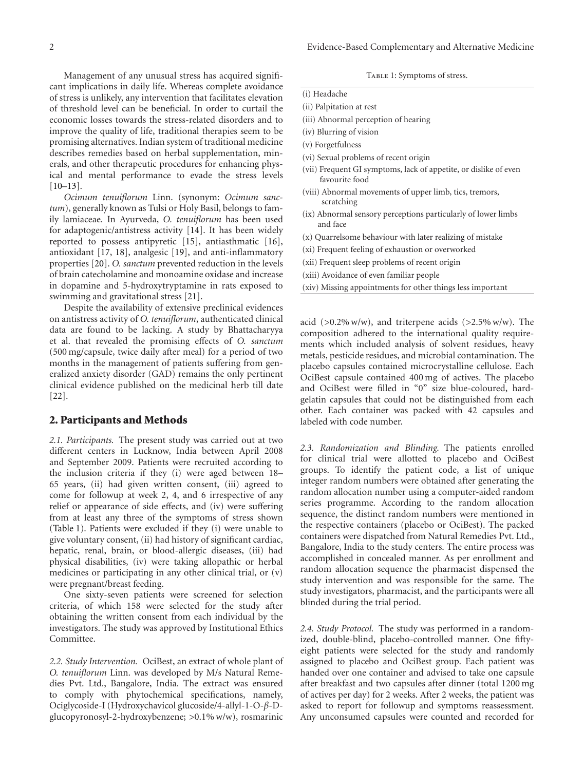Management of any unusual stress has acquired significant implications in daily life. Whereas complete avoidance of stress is unlikely, any intervention that facilitates elevation of threshold level can be beneficial. In order to curtail the economic losses towards the stress-related disorders and to improve the quality of life, traditional therapies seem to be promising alternatives. Indian system of traditional medicine describes remedies based on herbal supplementation, minerals, and other therapeutic procedures for enhancing physical and mental performance to evade the stress levels  $[10-13]$ .

*Ocimum tenuiflorum* Linn. (synonym: *Ocimum sanctum*), generally known as Tulsi or Holy Basil, belongs to family lamiaceae. In Ayurveda, *O. tenuiflorum* has been used for adaptogenic/antistress activity [14]. It has been widely reported to possess antipyretic [15], antiasthmatic [16], antioxidant [17, 18], analgesic [19], and anti-inflammatory properties [20]. *O. sanctum* prevented reduction in the levels of brain catecholamine and monoamine oxidase and increase in dopamine and 5-hydroxytryptamine in rats exposed to swimming and gravitational stress [21].

Despite the availability of extensive preclinical evidences on antistress activity of *O. tenuiflorum*, authenticated clinical data are found to be lacking. A study by Bhattacharyya et al. that revealed the promising effects of *O. sanctum* (500 mg/capsule, twice daily after meal) for a period of two months in the management of patients suffering from generalized anxiety disorder (GAD) remains the only pertinent clinical evidence published on the medicinal herb till date [22].

#### **2. Participants and Methods**

*2.1. Participants.* The present study was carried out at two different centers in Lucknow, India between April 2008 and September 2009. Patients were recruited according to the inclusion criteria if they (i) were aged between 18– 65 years, (ii) had given written consent, (iii) agreed to come for followup at week 2, 4, and 6 irrespective of any relief or appearance of side effects, and (iv) were suffering from at least any three of the symptoms of stress shown (Table 1). Patients were excluded if they (i) were unable to give voluntary consent, (ii) had history of significant cardiac, hepatic, renal, brain, or blood-allergic diseases, (iii) had physical disabilities, (iv) were taking allopathic or herbal medicines or participating in any other clinical trial, or (v) were pregnant/breast feeding.

One sixty-seven patients were screened for selection criteria, of which 158 were selected for the study after obtaining the written consent from each individual by the investigators. The study was approved by Institutional Ethics Committee.

*2.2. Study Intervention.* OciBest, an extract of whole plant of *O. tenuiflorum* Linn. was developed by M/s Natural Remedies Pvt. Ltd., Bangalore, India. The extract was ensured to comply with phytochemical specifications, namely, Ociglycoside-I (Hydroxychavicol glucoside/4-allyl-1-O-*β*-Dglucopyronosyl-2-hydroxybenzene; *>*0.1% w/w), rosmarinic

TABLE 1: Symptoms of stress.

| (i) Headache                         |
|--------------------------------------|
| (ii) Palpitation at rest             |
| (iii) Abnormal perception of hearing |
| (iv) Blurring of vision              |
| (v) Forgetfulness                    |

- (vi) Sexual problems of recent origin
- (vii) Frequent GI symptoms, lack of appetite, or dislike of even favourite food
- (viii) Abnormal movements of upper limb, tics, tremors, scratching
- (ix) Abnormal sensory perceptions particularly of lower limbs and face
- (x) Quarrelsome behaviour with later realizing of mistake
- (xi) Frequent feeling of exhaustion or overworked
- (xii) Frequent sleep problems of recent origin
- (xiii) Avoidance of even familiar people
- (xiv) Missing appointments for other things less important

acid (*>*0.2% w/w), and triterpene acids (*>*2.5% w/w). The composition adhered to the international quality requirements which included analysis of solvent residues, heavy metals, pesticide residues, and microbial contamination. The placebo capsules contained microcrystalline cellulose. Each OciBest capsule contained 400 mg of actives. The placebo and OciBest were filled in "0" size blue-coloured, hardgelatin capsules that could not be distinguished from each other. Each container was packed with 42 capsules and labeled with code number.

*2.3. Randomization and Blinding.* The patients enrolled for clinical trial were allotted to placebo and OciBest groups. To identify the patient code, a list of unique integer random numbers were obtained after generating the random allocation number using a computer-aided random series programme. According to the random allocation sequence, the distinct random numbers were mentioned in the respective containers (placebo or OciBest). The packed containers were dispatched from Natural Remedies Pvt. Ltd., Bangalore, India to the study centers. The entire process was accomplished in concealed manner. As per enrollment and random allocation sequence the pharmacist dispensed the study intervention and was responsible for the same. The study investigators, pharmacist, and the participants were all blinded during the trial period.

*2.4. Study Protocol.* The study was performed in a randomized, double-blind, placebo-controlled manner. One fiftyeight patients were selected for the study and randomly assigned to placebo and OciBest group. Each patient was handed over one container and advised to take one capsule after breakfast and two capsules after dinner (total 1200 mg of actives per day) for 2 weeks. After 2 weeks, the patient was asked to report for followup and symptoms reassessment. Any unconsumed capsules were counted and recorded for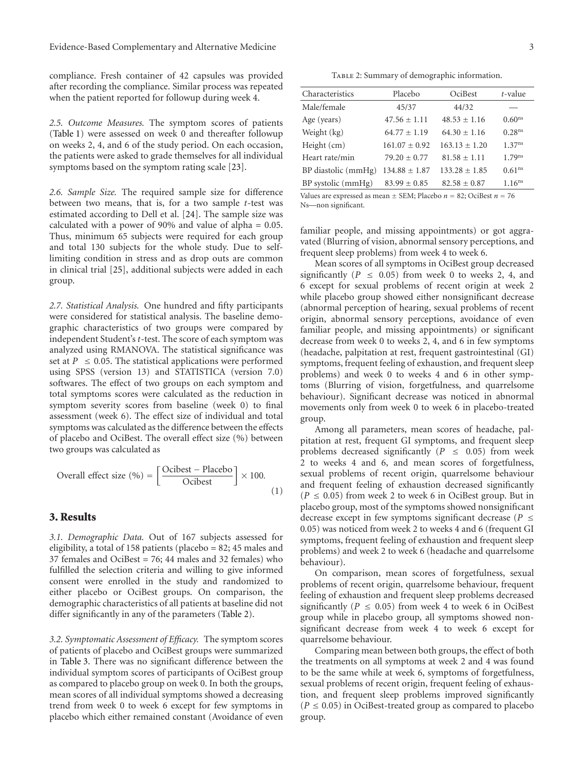compliance. Fresh container of 42 capsules was provided after recording the compliance. Similar process was repeated when the patient reported for followup during week 4.

*2.5. Outcome Measures.* The symptom scores of patients (Table 1) were assessed on week 0 and thereafter followup on weeks 2, 4, and 6 of the study period. On each occasion, the patients were asked to grade themselves for all individual symptoms based on the symptom rating scale [23].

*2.6. Sample Size.* The required sample size for difference between two means, that is, for a two sample *t*-test was estimated according to Dell et al. [24]. The sample size was calculated with a power of 90% and value of alpha = 0.05. Thus, minimum 65 subjects were required for each group and total 130 subjects for the whole study. Due to selflimiting condition in stress and as drop outs are common in clinical trial [25], additional subjects were added in each group.

*2.7. Statistical Analysis.* One hundred and fifty participants were considered for statistical analysis. The baseline demographic characteristics of two groups were compared by independent Student's *t*-test. The score of each symptom was analyzed using RMANOVA. The statistical significance was set at  $P \leq 0.05$ . The statistical applications were performed using SPSS (version 13) and STATISTICA (version 7.0) softwares. The effect of two groups on each symptom and total symptoms scores were calculated as the reduction in symptom severity scores from baseline (week 0) to final assessment (week 6). The effect size of individual and total symptoms was calculated as the difference between the effects of placebo and OciBest. The overall effect size (%) between two groups was calculated as

Overall effect size (
$$
\%
$$
) =  $\left[ \frac{\text{Ocibest} - \text{Placebo}}{\text{Ocibest}} \right] \times 100.$  (1)

#### **3. Results**

*3.1. Demographic Data.* Out of 167 subjects assessed for eligibility, a total of 158 patients (placebo = 82; 45 males and 37 females and OciBest = 76; 44 males and 32 females) who fulfilled the selection criteria and willing to give informed consent were enrolled in the study and randomized to either placebo or OciBest groups. On comparison, the demographic characteristics of all patients at baseline did not differ significantly in any of the parameters (Table 2).

*3.2. Symptomatic Assessment of Efficacy.* The symptom scores of patients of placebo and OciBest groups were summarized in Table 3. There was no significant difference between the individual symptom scores of participants of OciBest group as compared to placebo group on week 0. In both the groups, mean scores of all individual symptoms showed a decreasing trend from week 0 to week 6 except for few symptoms in placebo which either remained constant (Avoidance of even

TABLE 2: Summary of demographic information.

| Characteristics     | Placebo           | OciBest          | $t$ -value         |  |
|---------------------|-------------------|------------------|--------------------|--|
| Male/female         | 45/37             | 44/32            |                    |  |
| Age (years)         | $47.56 + 1.11$    | $48.53 + 1.16$   | 0.60 <sup>ns</sup> |  |
| Weight (kg)         | $64.77 + 1.19$    | $64.30 + 1.16$   | 0.28 <sup>ns</sup> |  |
| Height (cm)         | $161.07 + 0.92$   | $163.13 + 1.20$  | 1.37 <sup>ns</sup> |  |
| Heart rate/min      | $79.20 \pm 0.77$  | $81.58 + 1.11$   | $1.79^{ns}$        |  |
| BP diastolic (mmHg) | $134.88 \pm 1.87$ | $133.28 + 1.85$  | 0.61 <sup>ns</sup> |  |
| BP systolic (mmHg)  | $83.99 \pm 0.85$  | $82.58 \pm 0.87$ | 1.16 <sup>ns</sup> |  |
|                     |                   |                  |                    |  |

Values are expressed as mean  $\pm$  SEM; Placebo  $n = 82$ ; OciBest  $n = 76$ Ns—non significant.

familiar people, and missing appointments) or got aggravated (Blurring of vision, abnormal sensory perceptions, and frequent sleep problems) from week 4 to week 6.

Mean scores of all symptoms in OciBest group decreased significantly ( $P \leq 0.05$ ) from week 0 to weeks 2, 4, and 6 except for sexual problems of recent origin at week 2 while placebo group showed either nonsignificant decrease (abnormal perception of hearing, sexual problems of recent origin, abnormal sensory perceptions, avoidance of even familiar people, and missing appointments) or significant decrease from week 0 to weeks 2, 4, and 6 in few symptoms (headache, palpitation at rest, frequent gastrointestinal (GI) symptoms, frequent feeling of exhaustion, and frequent sleep problems) and week 0 to weeks 4 and 6 in other symptoms (Blurring of vision, forgetfulness, and quarrelsome behaviour). Significant decrease was noticed in abnormal movements only from week 0 to week 6 in placebo-treated group.

Among all parameters, mean scores of headache, palpitation at rest, frequent GI symptoms, and frequent sleep problems decreased significantly ( $P \leq 0.05$ ) from week 2 to weeks 4 and 6, and mean scores of forgetfulness, sexual problems of recent origin, quarrelsome behaviour and frequent feeling of exhaustion decreased significantly  $(P \le 0.05)$  from week 2 to week 6 in OciBest group. But in placebo group, most of the symptoms showed nonsignificant decrease except in few symptoms significant decrease (*<sup>P</sup>* <sup>≤</sup> 0*.*05) was noticed from week 2 to weeks 4 and 6 (frequent GI symptoms, frequent feeling of exhaustion and frequent sleep problems) and week 2 to week 6 (headache and quarrelsome behaviour).

On comparison, mean scores of forgetfulness, sexual problems of recent origin, quarrelsome behaviour, frequent feeling of exhaustion and frequent sleep problems decreased significantly ( $P \leq 0.05$ ) from week 4 to week 6 in OciBest group while in placebo group, all symptoms showed nonsignificant decrease from week 4 to week 6 except for quarrelsome behaviour.

Comparing mean between both groups, the effect of both the treatments on all symptoms at week 2 and 4 was found to be the same while at week 6, symptoms of forgetfulness, sexual problems of recent origin, frequent feeling of exhaustion, and frequent sleep problems improved significantly  $(P \le 0.05)$  in OciBest-treated group as compared to placebo group.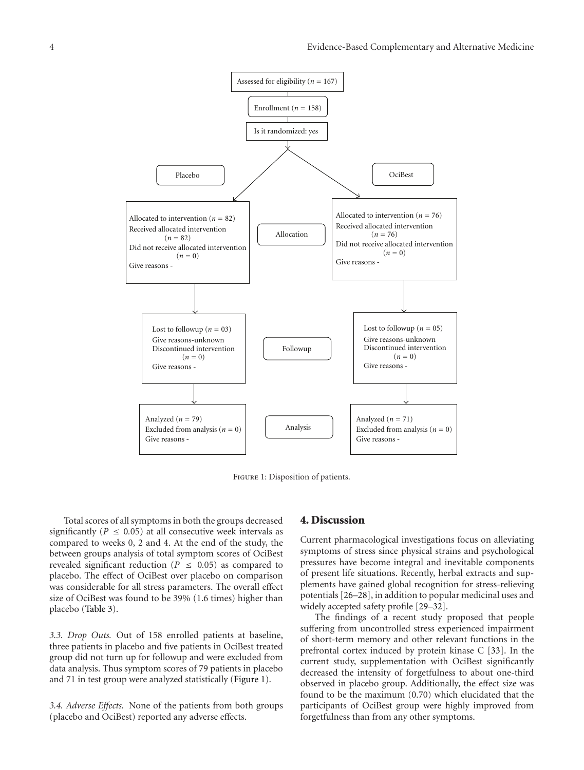

Figure 1: Disposition of patients.

Total scores of all symptoms in both the groups decreased significantly ( $P \leq 0.05$ ) at all consecutive week intervals as compared to weeks 0, 2 and 4. At the end of the study, the between groups analysis of total symptom scores of OciBest revealed significant reduction ( $P \leq 0.05$ ) as compared to placebo. The effect of OciBest over placebo on comparison was considerable for all stress parameters. The overall effect size of OciBest was found to be 39% (1.6 times) higher than placebo (Table 3).

*3.3. Drop Outs.* Out of 158 enrolled patients at baseline, three patients in placebo and five patients in OciBest treated group did not turn up for followup and were excluded from data analysis. Thus symptom scores of 79 patients in placebo and 71 in test group were analyzed statistically (Figure 1).

*3.4. Adverse Effects.* None of the patients from both groups (placebo and OciBest) reported any adverse effects.

#### **4. Discussion**

Current pharmacological investigations focus on alleviating symptoms of stress since physical strains and psychological pressures have become integral and inevitable components of present life situations. Recently, herbal extracts and supplements have gained global recognition for stress-relieving potentials [26–28], in addition to popular medicinal uses and widely accepted safety profile [29–32].

The findings of a recent study proposed that people suffering from uncontrolled stress experienced impairment of short-term memory and other relevant functions in the prefrontal cortex induced by protein kinase C [33]. In the current study, supplementation with OciBest significantly decreased the intensity of forgetfulness to about one-third observed in placebo group. Additionally, the effect size was found to be the maximum (0.70) which elucidated that the participants of OciBest group were highly improved from forgetfulness than from any other symptoms.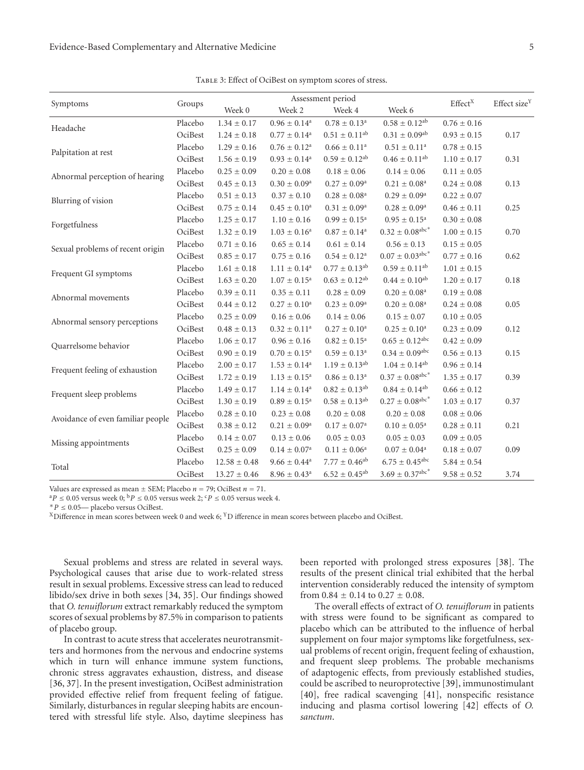| Symptoms                          |         |                  | Assessment period          |                               |                                           |                     |                          |
|-----------------------------------|---------|------------------|----------------------------|-------------------------------|-------------------------------------------|---------------------|--------------------------|
|                                   | Groups  | Week 0           | Week 2                     | Week 4                        | Week 6                                    | Effect <sup>X</sup> | Effect size <sup>Y</sup> |
| Headache                          | Placebo | $1.34 \pm 0.17$  | $0.96 \pm 0.14^a$          | $0.78 \pm 0.13^a$             | $0.58 \pm 0.12^{ab}$                      | $0.76 \pm 0.16$     |                          |
|                                   | OciBest | $1.24 \pm 0.18$  | $0.77 \pm 0.14^{\text{a}}$ | $0.51 \pm 0.11$ <sup>ab</sup> | $0.31 \pm 0.09^{ab}$                      | $0.93 \pm 0.15$     | 0.17                     |
| Palpitation at rest               | Placebo | $1.29 \pm 0.16$  | $0.76 \pm 0.12^a$          | $0.66 \pm 0.11^a$             | $0.51 \pm 0.11^a$                         | $0.78 \pm 0.15$     |                          |
|                                   | OciBest | $1.56 \pm 0.19$  | $0.93 \pm 0.14^a$          | $0.59 \pm 0.12^{ab}$          | $0.46 \pm 0.11^{ab}$                      | $1.10 \pm 0.17$     | 0.31                     |
| Abnormal perception of hearing    | Placebo | $0.25 \pm 0.09$  | $0.20 \pm 0.08$            | $0.18 \pm 0.06$               | $0.14 \pm 0.06$                           | $0.11 \pm 0.05$     |                          |
|                                   | OciBest | $0.45 \pm 0.13$  | $0.30 \pm 0.09^{\rm a}$    | $0.27 \pm 0.09^{\rm a}$       | $0.21 \pm 0.08^{\text{a}}$                | $0.24 \pm 0.08$     | 0.13                     |
| Blurring of vision                | Placebo | $0.51 \pm 0.13$  | $0.37\pm0.10$              | $0.28 \pm 0.08^{\text{a}}$    | $0.29 \pm 0.09^{\rm a}$                   | $0.22 \pm 0.07$     |                          |
|                                   | OciBest | $0.75 \pm 0.14$  | $0.45 \pm 0.10^a$          | $0.31 \pm 0.09^a$             | $0.28 \pm 0.09^{\rm a}$                   | $0.46 \pm 0.11$     | 0.25                     |
| Forgetfulness                     | Placebo | $1.25 \pm 0.17$  | $1.10 \pm 0.16$            | $0.99\pm0.15^{\rm a}$         | $0.95\pm0.15^{\rm a}$                     | $0.30 \pm 0.08$     |                          |
|                                   | OciBest | $1.32 \pm 0.19$  | $1.03 \pm 0.16^a$          | $0.87 \pm 0.14^a$             | $0.32 \pm 0.08^{\text{abc}}$              | $1.00 \pm 0.15$     | 0.70                     |
| Sexual problems of recent origin  | Placebo | $0.71 \pm 0.16$  | $0.65 \pm 0.14$            | $0.61 \pm 0.14$               | $0.56 \pm 0.13$                           | $0.15 \pm 0.05$     |                          |
|                                   | OciBest | $0.85 \pm 0.17$  | $0.75 \pm 0.16$            | $0.54 \pm 0.12^{\rm a}$       | $0.07 \pm 0.03^{\text{abc}}$ <sup>*</sup> | $0.77 \pm 0.16$     | 0.62                     |
| Frequent GI symptoms              | Placebo | $1.61 \pm 0.18$  | $1.11 \pm 0.14^a$          | $0.77 \pm 0.13^{ab}$          | $0.59 \pm 0.11^{ab}$                      | $1.01 \pm 0.15$     |                          |
|                                   | OciBest | $1.63 \pm 0.20$  | $1.07 \pm 0.15^{\text{a}}$ | $0.63 \pm 0.12^{ab}$          | $0.44 \pm 0.10^{ab}$                      | $1.20 \pm 0.17$     | 0.18                     |
| Abnormal movements                | Placebo | $0.39 \pm 0.11$  | $0.35 \pm 0.11$            | $0.28 \pm 0.09$               | $0.20 \pm 0.08^a$                         | $0.19 \pm 0.08$     |                          |
|                                   | OciBest | $0.44 \pm 0.12$  | $0.27 \pm 0.10^a$          | $0.23 \pm 0.09^a$             | $0.20 \pm 0.08^a$                         | $0.24 \pm 0.08$     | 0.05                     |
| Abnormal sensory perceptions      | Placebo | $0.25 \pm 0.09$  | $0.16 \pm 0.06$            | $0.14 \pm 0.06$               | $0.15 \pm 0.07$                           | $0.10 \pm 0.05$     |                          |
|                                   | OciBest | $0.48 \pm 0.13$  | $0.32 \pm 0.11^a$          | $0.27 \pm 0.10^{\rm a}$       | $0.25\pm0.10^{\rm a}$                     | $0.23 \pm 0.09$     | 0.12                     |
| Quarrelsome behavior              | Placebo | $1.06 \pm 0.17$  | $0.96 \pm 0.16$            | $0.82 \pm 0.15^{\rm a}$       | $0.65 \pm 0.12^{\text{abc}}$              | $0.42 \pm 0.09$     |                          |
|                                   | OciBest | $0.90 \pm 0.19$  | $0.70 \pm 0.15^{\text{a}}$ | $0.59 \pm 0.13^{\rm a}$       | $0.34\pm0.09^\text{abc}$                  | $0.56 \pm 0.13$     | 0.15                     |
| Frequent feeling of exhaustion    | Placebo | $2.00 \pm 0.17$  | $1.53 \pm 0.14^a$          | $1.19 \pm 0.13^{ab}$          | $1.04 \pm 0.14^{ab}$                      | $0.96 \pm 0.14$     |                          |
|                                   | OciBest | $1.72 \pm 0.19$  | $1.13 \pm 0.15^a$          | $0.86 \pm 0.13^a$             | $0.37 \pm 0.08^{\rm abc*}$                | $1.35 \pm 0.17$     | 0.39                     |
| Frequent sleep problems           | Placebo | $1.49 \pm 0.17$  | $1.14 \pm 0.14^a$          | $0.82 \pm 0.13^{ab}$          | $0.84 \pm 0.14^{ab}$                      | $0.66 \pm 0.12$     |                          |
|                                   | OciBest | $1.30 \pm 0.19$  | $0.89 \pm 0.15^{\rm a}$    | $0.58 \pm 0.13^{ab}$          | $0.27 \pm 0.08^{\text{abc}}$              | $1.03 \pm 0.17$     | 0.37                     |
| Avoidance of even familiar people | Placebo | $0.28\pm0.10$    | $0.23\pm0.08$              | $0.20 \pm 0.08$               | $0.20 \pm 0.08$                           | $0.08\pm0.06$       |                          |
|                                   | OciBest | $0.38 \pm 0.12$  | $0.21 \pm 0.09^a$          | $0.17 \pm 0.07^{\text{a}}$    | $0.10 \pm 0.05^{\text{a}}$                | $0.28 \pm 0.11$     | 0.21                     |
| Missing appointments              | Placebo | $0.14 \pm 0.07$  | $0.13 \pm 0.06$            | $0.05 \pm 0.03$               | $0.05 \pm 0.03$                           | $0.09 \pm 0.05$     |                          |
|                                   | OciBest | $0.25 \pm 0.09$  | $0.14 \pm 0.07^{\rm a}$    | $0.11 \pm 0.06^a$             | $0.07\pm0.04^{\rm a}$                     | $0.18 \pm 0.07$     | 0.09                     |
| Total                             | Placebo | $12.58 \pm 0.48$ | $9.66 \pm 0.44^a$          | $7.77 \pm 0.46^{ab}$          | $6.75 \pm 0.45^{\rm abc}$                 | $5.84 \pm 0.54$     |                          |
|                                   | OciBest | $13.27 \pm 0.46$ | $8.96 \pm 0.43^{\text{a}}$ | $6.52 \pm 0.45^{ab}$          | $3.69 \pm 0.37^{\text{abc}}$              | $9.58\pm0.52$       | 3.74                     |

Table 3: Effect of OciBest on symptom scores of stress.

Values are expressed as mean ± SEM; Placebo *n* = 79; OciBest *n* = 71. <sup>a</sup>P ≤ 0.05 versus week 0; <sup>b</sup>P ≤ 0.05 versus week 2; <sup>c</sup>P ≤ 0.05 versus week 4. \* *P* ≤ 0.05— placebo versus OciBest.

<sup>X</sup> Difference in mean scores between week 0 and week 6; <sup>Y</sup>D ifference in mean scores between placebo and OciBest.

Sexual problems and stress are related in several ways. Psychological causes that arise due to work-related stress result in sexual problems. Excessive stress can lead to reduced libido/sex drive in both sexes [34, 35]. Our findings showed that *O. tenuiflorum* extract remarkably reduced the symptom scores of sexual problems by 87.5% in comparison to patients of placebo group.

In contrast to acute stress that accelerates neurotransmitters and hormones from the nervous and endocrine systems which in turn will enhance immune system functions, chronic stress aggravates exhaustion, distress, and disease [36, 37]. In the present investigation, OciBest administration provided effective relief from frequent feeling of fatigue. Similarly, disturbances in regular sleeping habits are encountered with stressful life style. Also, daytime sleepiness has

been reported with prolonged stress exposures [38]. The results of the present clinical trial exhibited that the herbal intervention considerably reduced the intensity of symptom from  $0.84 \pm 0.14$  to  $0.27 \pm 0.08$ .

The overall effects of extract of *O. tenuiflorum* in patients with stress were found to be significant as compared to placebo which can be attributed to the influence of herbal supplement on four major symptoms like forgetfulness, sexual problems of recent origin, frequent feeling of exhaustion, and frequent sleep problems. The probable mechanisms of adaptogenic effects, from previously established studies, could be ascribed to neuroprotective [39], immunostimulant [40], free radical scavenging [41], nonspecific resistance inducing and plasma cortisol lowering [42] effects of *O. sanctum*.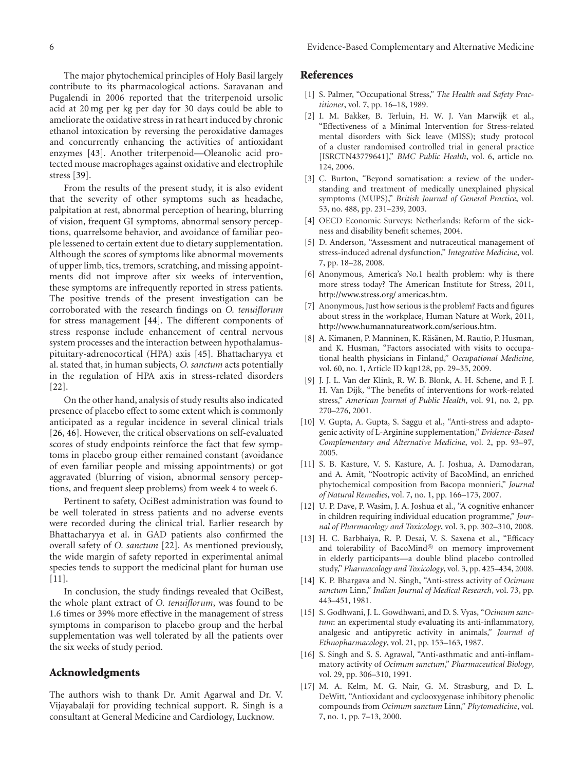The major phytochemical principles of Holy Basil largely contribute to its pharmacological actions. Saravanan and Pugalendi in 2006 reported that the triterpenoid ursolic acid at 20 mg per kg per day for 30 days could be able to ameliorate the oxidative stress in rat heart induced by chronic ethanol intoxication by reversing the peroxidative damages and concurrently enhancing the activities of antioxidant enzymes [43]. Another triterpenoid—Oleanolic acid protected mouse macrophages against oxidative and electrophile stress [39].

From the results of the present study, it is also evident that the severity of other symptoms such as headache, palpitation at rest, abnormal perception of hearing, blurring of vision, frequent GI symptoms, abnormal sensory perceptions, quarrelsome behavior, and avoidance of familiar people lessened to certain extent due to dietary supplementation. Although the scores of symptoms like abnormal movements of upper limb, tics, tremors, scratching, and missing appointments did not improve after six weeks of intervention, these symptoms are infrequently reported in stress patients. The positive trends of the present investigation can be corroborated with the research findings on *O. tenuiflorum* for stress management [44]. The different components of stress response include enhancement of central nervous system processes and the interaction between hypothalamuspituitary-adrenocortical (HPA) axis [45]. Bhattacharyya et al. stated that, in human subjects, *O. sanctum* acts potentially in the regulation of HPA axis in stress-related disorders [22].

On the other hand, analysis of study results also indicated presence of placebo effect to some extent which is commonly anticipated as a regular incidence in several clinical trials [26, 46]. However, the critical observations on self-evaluated scores of study endpoints reinforce the fact that few symptoms in placebo group either remained constant (avoidance of even familiar people and missing appointments) or got aggravated (blurring of vision, abnormal sensory perceptions, and frequent sleep problems) from week 4 to week 6.

Pertinent to safety, OciBest administration was found to be well tolerated in stress patients and no adverse events were recorded during the clinical trial. Earlier research by Bhattacharyya et al. in GAD patients also confirmed the overall safety of *O. sanctum* [22]. As mentioned previously, the wide margin of safety reported in experimental animal species tends to support the medicinal plant for human use [11].

In conclusion, the study findings revealed that OciBest, the whole plant extract of *O. tenuiflorum*, was found to be 1.6 times or 39% more effective in the management of stress symptoms in comparison to placebo group and the herbal supplementation was well tolerated by all the patients over the six weeks of study period.

#### **Acknowledgments**

The authors wish to thank Dr. Amit Agarwal and Dr. V. Vijayabalaji for providing technical support. R. Singh is a consultant at General Medicine and Cardiology, Lucknow.

#### **References**

- [1] S. Palmer, "Occupational Stress," *The Health and Safety Practitioner*, vol. 7, pp. 16–18, 1989.
- [2] I. M. Bakker, B. Terluin, H. W. J. Van Marwijk et al., "Effectiveness of a Minimal Intervention for Stress-related mental disorders with Sick leave (MISS); study protocol of a cluster randomised controlled trial in general practice [ISRCTN43779641]," *BMC Public Health*, vol. 6, article no. 124, 2006.
- [3] C. Burton, "Beyond somatisation: a review of the understanding and treatment of medically unexplained physical symptoms (MUPS)," *British Journal of General Practice*, vol. 53, no. 488, pp. 231–239, 2003.
- [4] OECD Economic Surveys: Netherlands: Reform of the sickness and disability benefit schemes, 2004.
- [5] D. Anderson, "Assessment and nutraceutical management of stress-induced adrenal dysfunction," *Integrative Medicine*, vol. 7, pp. 18–28, 2008.
- [6] Anonymous, America's No.1 health problem: why is there more stress today? The American Institute for Stress, 2011, http://www.stress.org/ americas.htm.
- [7] Anonymous, Just how serious is the problem? Facts and figures about stress in the workplace, Human Nature at Work, 2011, http://www.humannatureatwork.com/serious.htm.
- [8] A. Kimanen, P. Manninen, K. Räsänen, M. Rautio, P. Husman, and K. Husman, "Factors associated with visits to occupational health physicians in Finland," *Occupational Medicine*, vol. 60, no. 1, Article ID kqp128, pp. 29–35, 2009.
- [9] J. J. L. Van der Klink, R. W. B. Blonk, A. H. Schene, and F. J. H. Van Dijk, "The benefits of interventions for work-related stress," *American Journal of Public Health*, vol. 91, no. 2, pp. 270–276, 2001.
- [10] V. Gupta, A. Gupta, S. Saggu et al., "Anti-stress and adaptogenic activity of L-Arginine supplementation," *Evidence-Based Complementary and Alternative Medicine*, vol. 2, pp. 93–97, 2005.
- [11] S. B. Kasture, V. S. Kasture, A. J. Joshua, A. Damodaran, and A. Amit, "Nootropic activity of BacoMind, an enriched phytochemical composition from Bacopa monnieri," *Journal of Natural Remedies*, vol. 7, no. 1, pp. 166–173, 2007.
- [12] U. P. Dave, P. Wasim, J. A. Joshua et al., "A cognitive enhancer in children requiring individual education programme," *Journal of Pharmacology and Toxicology*, vol. 3, pp. 302–310, 2008.
- [13] H. C. Barbhaiya, R. P. Desai, V. S. Saxena et al., "Efficacy and tolerability of BacoMind® on memory improvement in elderly participants—a double blind placebo controlled study," *Pharmacology and Toxicology*, vol. 3, pp. 425–434, 2008.
- [14] K. P. Bhargava and N. Singh, "Anti-stress activity of *Ocimum sanctum* Linn," *Indian Journal of Medical Research*, vol. 73, pp. 443–451, 1981.
- [15] S. Godhwani, J. L. Gowdhwani, and D. S. Vyas, "*Ocimum sanctum*: an experimental study evaluating its anti-inflammatory, analgesic and antipyretic activity in animals," *Journal of Ethnopharmacology*, vol. 21, pp. 153–163, 1987.
- [16] S. Singh and S. S. Agrawal, "Anti-asthmatic and anti-inflammatory activity of *Ocimum sanctum*," *Pharmaceutical Biology*, vol. 29, pp. 306–310, 1991.
- [17] M. A. Kelm, M. G. Nair, G. M. Strasburg, and D. L. DeWitt, "Antioxidant and cyclooxygenase inhibitory phenolic compounds from *Ocimum sanctum* Linn," *Phytomedicine*, vol. 7, no. 1, pp. 7–13, 2000.